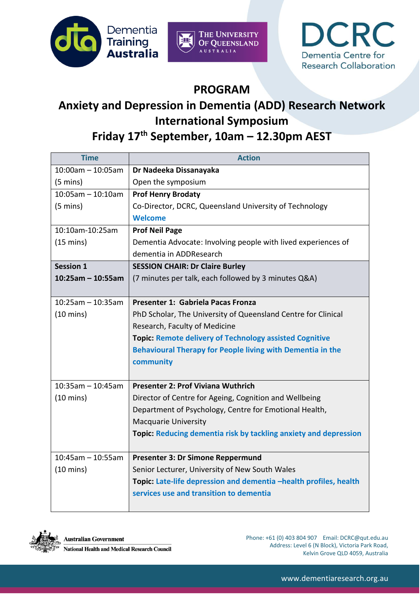





## **PROGRAM**

## **Anxiety and Depression in Dementia (ADD) Research Network International Symposium**

## **Friday 17th September, 10am – 12.30pm AEST**

| <b>Time</b>          | <b>Action</b>                                                           |
|----------------------|-------------------------------------------------------------------------|
| $10:00$ am - 10:05am | Dr Nadeeka Dissanayaka                                                  |
| $(5 \text{ mins})$   | Open the symposium                                                      |
| $10:05$ am - 10:10am | <b>Prof Henry Brodaty</b>                                               |
| $(5 \text{ mins})$   | Co-Director, DCRC, Queensland University of Technology                  |
|                      | <b>Welcome</b>                                                          |
| 10:10am-10:25am      | <b>Prof Neil Page</b>                                                   |
| $(15 \text{ mins})$  | Dementia Advocate: Involving people with lived experiences of           |
|                      | dementia in ADDResearch                                                 |
| <b>Session 1</b>     | <b>SESSION CHAIR: Dr Claire Burley</b>                                  |
| $10:25am - 10:55am$  | (7 minutes per talk, each followed by 3 minutes Q&A)                    |
|                      |                                                                         |
| $10:25am - 10:35am$  | Presenter 1: Gabriela Pacas Fronza                                      |
| $(10 \text{ mins})$  | PhD Scholar, The University of Queensland Centre for Clinical           |
|                      | Research, Faculty of Medicine                                           |
|                      | <b>Topic: Remote delivery of Technology assisted Cognitive</b>          |
|                      | Behavioural Therapy for People living with Dementia in the              |
|                      | community                                                               |
|                      |                                                                         |
| $10:35am - 10:45am$  | <b>Presenter 2: Prof Viviana Wuthrich</b>                               |
| $(10 \text{ mins})$  | Director of Centre for Ageing, Cognition and Wellbeing                  |
|                      | Department of Psychology, Centre for Emotional Health,                  |
|                      | <b>Macquarie University</b>                                             |
|                      | <b>Topic: Reducing dementia risk by tackling anxiety and depression</b> |
|                      |                                                                         |
| $10:45$ am - 10:55am | Presenter 3: Dr Simone Reppermund                                       |
| $(10 \text{ mins})$  | Senior Lecturer, University of New South Wales                          |
|                      | Topic: Late-life depression and dementia -health profiles, health       |
|                      | services use and transition to dementia                                 |
|                      |                                                                         |



Phone: +61 (0) 403 804 907 Email: DCRC@qut.edu.au Address: Level 6 (N Block), Victoria Park Road, Kelvin Grove QLD 4059, Australia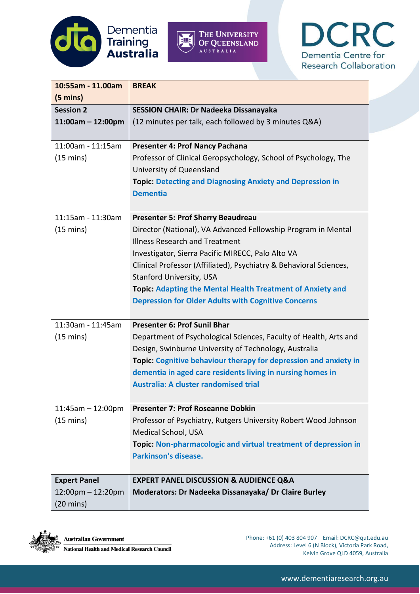





| 10:55am - 11.00am                      | <b>BREAK</b>                                                       |
|----------------------------------------|--------------------------------------------------------------------|
| $(5 \text{ mins})$<br><b>Session 2</b> | SESSION CHAIR: Dr Nadeeka Dissanayaka                              |
| $11:00am - 12:00pm$                    | (12 minutes per talk, each followed by 3 minutes Q&A)              |
|                                        |                                                                    |
| 11:00am - 11:15am                      | <b>Presenter 4: Prof Nancy Pachana</b>                             |
| $(15 \text{ mins})$                    | Professor of Clinical Geropsychology, School of Psychology, The    |
|                                        | University of Queensland                                           |
|                                        | <b>Topic: Detecting and Diagnosing Anxiety and Depression in</b>   |
|                                        | <b>Dementia</b>                                                    |
| 11:15am - 11:30am                      | <b>Presenter 5: Prof Sherry Beaudreau</b>                          |
| $(15 \text{ mins})$                    | Director (National), VA Advanced Fellowship Program in Mental      |
|                                        | <b>Illness Research and Treatment</b>                              |
|                                        | Investigator, Sierra Pacific MIRECC, Palo Alto VA                  |
|                                        | Clinical Professor (Affiliated), Psychiatry & Behavioral Sciences, |
|                                        | <b>Stanford University, USA</b>                                    |
|                                        | <b>Topic: Adapting the Mental Health Treatment of Anxiety and</b>  |
|                                        | <b>Depression for Older Adults with Cognitive Concerns</b>         |
| 11:30am - 11:45am                      | <b>Presenter 6: Prof Sunil Bhar</b>                                |
| $(15 \text{ mins})$                    | Department of Psychological Sciences, Faculty of Health, Arts and  |
|                                        | Design, Swinburne University of Technology, Australia              |
|                                        | Topic: Cognitive behaviour therapy for depression and anxiety in   |
|                                        | dementia in aged care residents living in nursing homes in         |
|                                        | Australia: A cluster randomised trial                              |
| $11:45am - 12:00pm$                    | <b>Presenter 7: Prof Roseanne Dobkin</b>                           |
| $(15 \text{ mins})$                    | Professor of Psychiatry, Rutgers University Robert Wood Johnson    |
|                                        | Medical School, USA                                                |
|                                        | Topic: Non-pharmacologic and virtual treatment of depression in    |
|                                        | <b>Parkinson's disease.</b>                                        |
| <b>Expert Panel</b>                    | <b>EXPERT PANEL DISCUSSION &amp; AUDIENCE Q&amp;A</b>              |
| 12:00pm - 12:20pm                      | Moderators: Dr Nadeeka Dissanayaka/ Dr Claire Burley               |
| $(20 \text{ mins})$                    |                                                                    |



Phone: +61 (0) 403 804 907 Email: DCRC@qut.edu.au Address: Level 6 (N Block), Victoria Park Road, Kelvin Grove QLD 4059, Australia